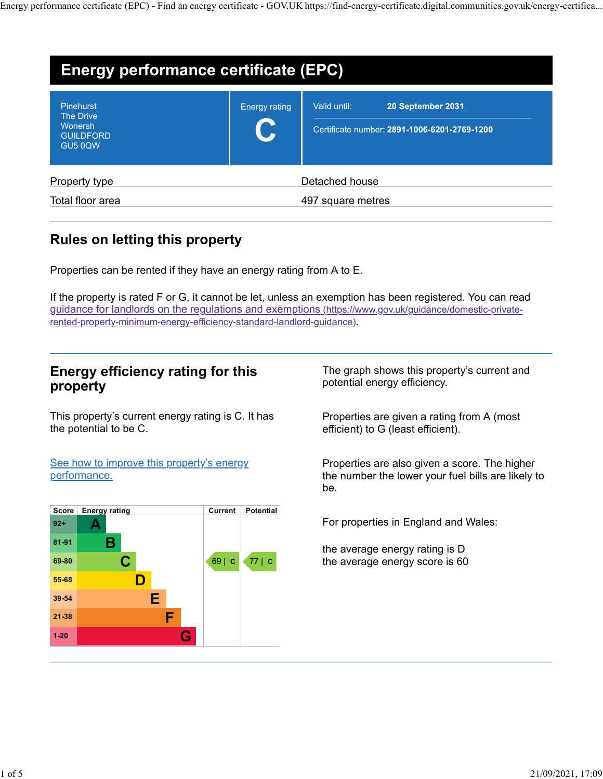|                                        |               | Energy performance certificate (EPC) - Find an energy certificate - GOV.UK https://find-energy-certificate.digital.communities.gov.uk/energy-certifica |  |
|----------------------------------------|---------------|--------------------------------------------------------------------------------------------------------------------------------------------------------|--|
|                                        |               |                                                                                                                                                        |  |
|                                        |               |                                                                                                                                                        |  |
| Energy performance certificate (EPC)   |               |                                                                                                                                                        |  |
| Pinehurst<br><b>The Drive</b>          | Energy rating | Valid until:<br>20 September 2031                                                                                                                      |  |
| Wonersh<br><b>GUILDFORD</b><br>GU5 0QW |               | Certificate number: 2891-1006-6201-2769-1200                                                                                                           |  |
| Property type                          |               | Detached house                                                                                                                                         |  |

# Rules on letting this property

Properties can be rented if they have an energy rating from A to E.

If the property is rated F or G, it cannot be let, unless an exemption has been registered. You can read guidance for landlords on the regulations and exemptions (https://www.gov.uk/guidance/domestic-privaterented-property-minimum-energy-efficiency-standard-landlord-guidance). Properties can be rented if they have an energy rating from A to E.<br>
f the property is rated F or G, it cannot be let, unless an exemption has been registered. You can read<br>
suidance for landlords on the regulations and ex

## Energy efficiency rating for this property

This property's current energy rating is C. It has the potential to be C.

See how to improve this property's energy performance.

| Score    | <b>Energy rating</b> | Current | Potential |                                      |
|----------|----------------------|---------|-----------|--------------------------------------|
| $92+$    |                      |         |           | For properties in England and Wales: |
| 81-91    | в                    |         |           | the average energy rating is D       |
| 69-80    |                      | 69   C  | 77 c      | the average energy score is 60       |
| 55-68    |                      |         |           |                                      |
| 39-54    | Е                    |         |           |                                      |
| 21-38    |                      |         |           |                                      |
| $1 - 20$ | G                    |         |           |                                      |

The graph shows this property's current and potential energy efficiency.

Properties are given a rating from A (most efficient) to G (least efficient).

Properties are also given a score. The higher the number the lower your fuel bills are likely to be.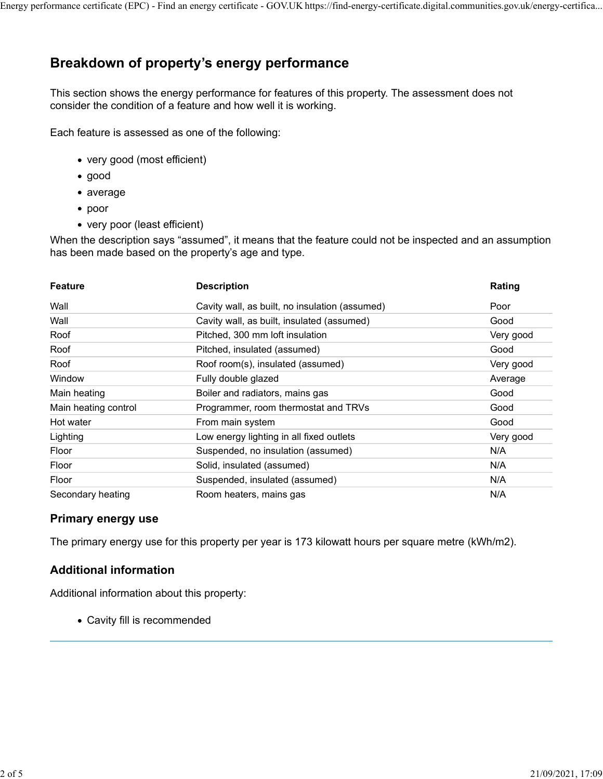# Breakdown of property's energy performance

- very good (most efficient)
- good
- average
- poor
- very poor (least efficient)

| This section shows the energy performance for features of this property. The assessment does not<br>consider the condition of a feature and how well it is working.<br>Each feature is assessed as one of the following:<br>• very good (most efficient)<br>$\bullet$ good<br>$\bullet$ average<br>$\bullet$ poor<br>• very poor (least efficient)<br>When the description says "assumed", it means that the feature could not be inspected and an assumption<br>has been made based on the property's age and type.<br><b>Description</b><br><b>Feature</b><br>Wall<br>Cavity wall, as built, no insulation (assumed)<br>Wall<br>Cavity wall, as built, insulated (assumed)<br>Pitched, 300 mm loft insulation<br>Roof<br>Pitched, insulated (assumed)<br>Roof<br>Roof room(s), insulated (assumed)<br>Roof<br>Fully double glazed<br>Window<br>Boiler and radiators, mains gas<br>Main heating<br>Main heating control<br>Programmer, room thermostat and TRVs<br>Hot water<br>From main system<br>Low energy lighting in all fixed outlets<br>Lighting<br>Suspended, no insulation (assumed)<br>Floor<br>Solid, insulated (assumed)<br>Floor | Rating<br>Poor<br>Good<br>Very good |
|-------------------------------------------------------------------------------------------------------------------------------------------------------------------------------------------------------------------------------------------------------------------------------------------------------------------------------------------------------------------------------------------------------------------------------------------------------------------------------------------------------------------------------------------------------------------------------------------------------------------------------------------------------------------------------------------------------------------------------------------------------------------------------------------------------------------------------------------------------------------------------------------------------------------------------------------------------------------------------------------------------------------------------------------------------------------------------------------------------------------------------------------------|-------------------------------------|
|                                                                                                                                                                                                                                                                                                                                                                                                                                                                                                                                                                                                                                                                                                                                                                                                                                                                                                                                                                                                                                                                                                                                                 |                                     |
|                                                                                                                                                                                                                                                                                                                                                                                                                                                                                                                                                                                                                                                                                                                                                                                                                                                                                                                                                                                                                                                                                                                                                 |                                     |
|                                                                                                                                                                                                                                                                                                                                                                                                                                                                                                                                                                                                                                                                                                                                                                                                                                                                                                                                                                                                                                                                                                                                                 |                                     |
|                                                                                                                                                                                                                                                                                                                                                                                                                                                                                                                                                                                                                                                                                                                                                                                                                                                                                                                                                                                                                                                                                                                                                 |                                     |
|                                                                                                                                                                                                                                                                                                                                                                                                                                                                                                                                                                                                                                                                                                                                                                                                                                                                                                                                                                                                                                                                                                                                                 |                                     |
|                                                                                                                                                                                                                                                                                                                                                                                                                                                                                                                                                                                                                                                                                                                                                                                                                                                                                                                                                                                                                                                                                                                                                 |                                     |
|                                                                                                                                                                                                                                                                                                                                                                                                                                                                                                                                                                                                                                                                                                                                                                                                                                                                                                                                                                                                                                                                                                                                                 |                                     |
|                                                                                                                                                                                                                                                                                                                                                                                                                                                                                                                                                                                                                                                                                                                                                                                                                                                                                                                                                                                                                                                                                                                                                 |                                     |
|                                                                                                                                                                                                                                                                                                                                                                                                                                                                                                                                                                                                                                                                                                                                                                                                                                                                                                                                                                                                                                                                                                                                                 |                                     |
|                                                                                                                                                                                                                                                                                                                                                                                                                                                                                                                                                                                                                                                                                                                                                                                                                                                                                                                                                                                                                                                                                                                                                 |                                     |
|                                                                                                                                                                                                                                                                                                                                                                                                                                                                                                                                                                                                                                                                                                                                                                                                                                                                                                                                                                                                                                                                                                                                                 |                                     |
|                                                                                                                                                                                                                                                                                                                                                                                                                                                                                                                                                                                                                                                                                                                                                                                                                                                                                                                                                                                                                                                                                                                                                 |                                     |
|                                                                                                                                                                                                                                                                                                                                                                                                                                                                                                                                                                                                                                                                                                                                                                                                                                                                                                                                                                                                                                                                                                                                                 | Good                                |
|                                                                                                                                                                                                                                                                                                                                                                                                                                                                                                                                                                                                                                                                                                                                                                                                                                                                                                                                                                                                                                                                                                                                                 | Very good                           |
|                                                                                                                                                                                                                                                                                                                                                                                                                                                                                                                                                                                                                                                                                                                                                                                                                                                                                                                                                                                                                                                                                                                                                 | Average                             |
|                                                                                                                                                                                                                                                                                                                                                                                                                                                                                                                                                                                                                                                                                                                                                                                                                                                                                                                                                                                                                                                                                                                                                 | Good                                |
|                                                                                                                                                                                                                                                                                                                                                                                                                                                                                                                                                                                                                                                                                                                                                                                                                                                                                                                                                                                                                                                                                                                                                 | Good                                |
|                                                                                                                                                                                                                                                                                                                                                                                                                                                                                                                                                                                                                                                                                                                                                                                                                                                                                                                                                                                                                                                                                                                                                 | Good                                |
|                                                                                                                                                                                                                                                                                                                                                                                                                                                                                                                                                                                                                                                                                                                                                                                                                                                                                                                                                                                                                                                                                                                                                 | Very good                           |
|                                                                                                                                                                                                                                                                                                                                                                                                                                                                                                                                                                                                                                                                                                                                                                                                                                                                                                                                                                                                                                                                                                                                                 | N/A                                 |
|                                                                                                                                                                                                                                                                                                                                                                                                                                                                                                                                                                                                                                                                                                                                                                                                                                                                                                                                                                                                                                                                                                                                                 | N/A                                 |
| Floor<br>Suspended, insulated (assumed)                                                                                                                                                                                                                                                                                                                                                                                                                                                                                                                                                                                                                                                                                                                                                                                                                                                                                                                                                                                                                                                                                                         | N/A                                 |
| Secondary heating<br>Room heaters, mains gas                                                                                                                                                                                                                                                                                                                                                                                                                                                                                                                                                                                                                                                                                                                                                                                                                                                                                                                                                                                                                                                                                                    | N/A                                 |
| <b>Primary energy use</b>                                                                                                                                                                                                                                                                                                                                                                                                                                                                                                                                                                                                                                                                                                                                                                                                                                                                                                                                                                                                                                                                                                                       |                                     |
| The primary energy use for this property per year is 173 kilowatt hours per square metre (kWh/m2).                                                                                                                                                                                                                                                                                                                                                                                                                                                                                                                                                                                                                                                                                                                                                                                                                                                                                                                                                                                                                                              |                                     |

#### Primary energy use

### Additional information

Additional information about this property:

Cavity fill is recommended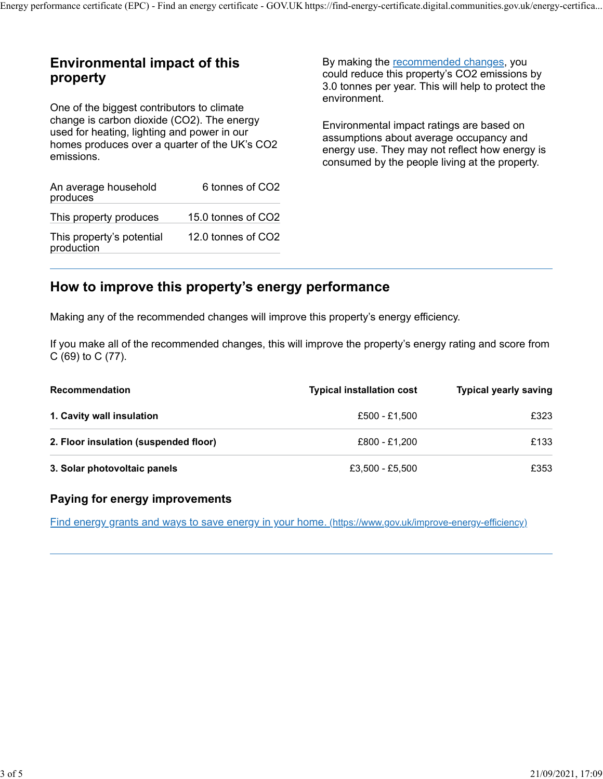## Environmental impact of this property

One of the biggest contributors to climate change is carbon dioxide (CO2). The energy used for heating, lighting and power in our homes produces over a quarter of the UK's CO2 emissions.

| An average household<br>produces        | 6 tonnes of CO2    |
|-----------------------------------------|--------------------|
| This property produces                  | 15.0 tonnes of CO2 |
| This property's potential<br>production | 12.0 tonnes of CO2 |

By making the recommended changes, you could reduce this property's CO2 emissions by 3.0 tonnes per year. This will help to protect the environment.

Environmental impact ratings are based on assumptions about average occupancy and energy use. They may not reflect how energy is consumed by the people living at the property.

## How to improve this property's energy performance

| used for neating, lighting and power in our<br>homes produces over a quarter of the UK's CO2<br>emissions. |                    | assumptions about average occupancy and<br>energy use. They may not reflect how energy is<br>consumed by the people living at the property. |                              |
|------------------------------------------------------------------------------------------------------------|--------------------|---------------------------------------------------------------------------------------------------------------------------------------------|------------------------------|
| An average household<br>produces                                                                           | 6 tonnes of CO2    |                                                                                                                                             |                              |
| This property produces                                                                                     | 15.0 tonnes of CO2 |                                                                                                                                             |                              |
| This property's potential<br>production                                                                    | 12.0 tonnes of CO2 |                                                                                                                                             |                              |
| How to improve this property's energy performance                                                          |                    |                                                                                                                                             |                              |
|                                                                                                            |                    | Making any of the recommended changes will improve this property's energy efficiency.                                                       |                              |
| $C(69)$ to $C(77)$ .                                                                                       |                    | If you make all of the recommended changes, this will improve the property's energy rating and score from                                   |                              |
| <b>Recommendation</b>                                                                                      |                    | <b>Typical installation cost</b>                                                                                                            | <b>Typical yearly saving</b> |
| 1. Cavity wall insulation                                                                                  |                    | £500 - £1,500                                                                                                                               | £323                         |
| 2. Floor insulation (suspended floor)                                                                      |                    | £800 - £1,200                                                                                                                               | £133                         |
| 3. Solar photovoltaic panels                                                                               |                    | £3,500 - £5,500                                                                                                                             | £353                         |
|                                                                                                            |                    |                                                                                                                                             |                              |
| Paying for energy improvements                                                                             |                    |                                                                                                                                             |                              |

### Paying for energy improvements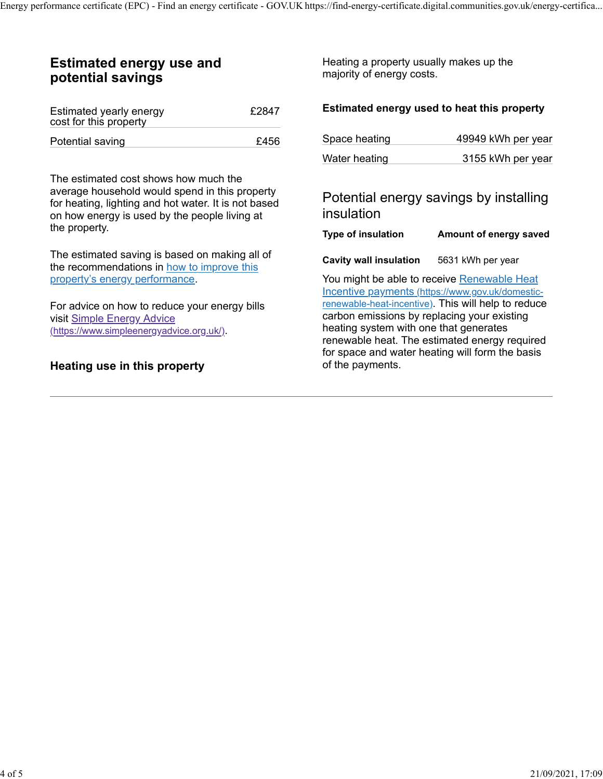## Estimated energy use and potential savings

| Estimated yearly energy<br>cost for this property | £2847 | <b>Estimated energy used to</b> |
|---------------------------------------------------|-------|---------------------------------|
| Potential saving                                  | £456  | Space heating                   |

The estimated cost shows how much the average household would spend in this property for heating, lighting and hot water. It is not based on how energy is used by the people living at the property.

The estimated saving is based on making all of the recommendations in how to improve this property's energy performance.

For advice on how to reduce your energy bills visit Simple Energy Advice (https://www.simpleenergyadvice.org.uk/).

#### Heating use in this property

### $\epsilon$ 2847 Estimated energy used to heat this property

|                                                                      | s://find-energy-certificate.digital.communities.gov.uk/energy-certifica                         |  |
|----------------------------------------------------------------------|-------------------------------------------------------------------------------------------------|--|
| Heating a property usually makes up the<br>majority of energy costs. |                                                                                                 |  |
|                                                                      | Estimated energy used to heat this property                                                     |  |
| Space heating                                                        | 49949 kWh per year                                                                              |  |
| Water heating                                                        | 3155 kWh per year                                                                               |  |
| insulation                                                           | Potential energy savings by installing                                                          |  |
|                                                                      | Type of insulation Amount of energy saved                                                       |  |
| Cavity wall insulation 5631 kWh per year                             |                                                                                                 |  |
|                                                                      | You might be able to receive Renewable Heat<br>Incentive payments (https://www.gov.uk/domestic- |  |

You might be able to receive Renewable Heat Incentive payments (https://www.gov.uk/domesticrenewable-heat-incentive). This will help to reduce carbon emissions by replacing your existing heating system with one that generates renewable heat. The estimated energy required for space and water heating will form the basis of the payments.